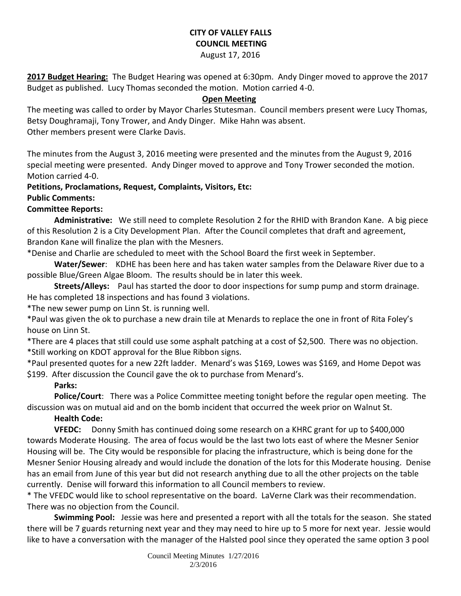# **CITY OF VALLEY FALLS COUNCIL MEETING**

#### August 17, 2016

**2017 Budget Hearing:** The Budget Hearing was opened at 6:30pm. Andy Dinger moved to approve the 2017 Budget as published. Lucy Thomas seconded the motion. Motion carried 4-0.

#### **Open Meeting**

The meeting was called to order by Mayor Charles Stutesman. Council members present were Lucy Thomas, Betsy Doughramaji, Tony Trower, and Andy Dinger. Mike Hahn was absent. Other members present were Clarke Davis.

The minutes from the August 3, 2016 meeting were presented and the minutes from the August 9, 2016 special meeting were presented. Andy Dinger moved to approve and Tony Trower seconded the motion. Motion carried 4-0.

#### **Petitions, Proclamations, Request, Complaints, Visitors, Etc:**

#### **Public Comments:**

#### **Committee Reports:**

**Administrative:** We still need to complete Resolution 2 for the RHID with Brandon Kane. A big piece of this Resolution 2 is a City Development Plan. After the Council completes that draft and agreement, Brandon Kane will finalize the plan with the Mesners.

\*Denise and Charlie are scheduled to meet with the School Board the first week in September.

**Water/Sewer**: KDHE has been here and has taken water samples from the Delaware River due to a possible Blue/Green Algae Bloom. The results should be in later this week.

**Streets/Alleys:** Paul has started the door to door inspections for sump pump and storm drainage. He has completed 18 inspections and has found 3 violations.

\*The new sewer pump on Linn St. is running well.

\*Paul was given the ok to purchase a new drain tile at Menards to replace the one in front of Rita Foley's house on Linn St.

\*There are 4 places that still could use some asphalt patching at a cost of \$2,500. There was no objection. \*Still working on KDOT approval for the Blue Ribbon signs.

\*Paul presented quotes for a new 22ft ladder. Menard's was \$169, Lowes was \$169, and Home Depot was \$199. After discussion the Council gave the ok to purchase from Menard's.

#### **Parks:**

**Police/Court**: There was a Police Committee meeting tonight before the regular open meeting. The discussion was on mutual aid and on the bomb incident that occurred the week prior on Walnut St.

## **Health Code:**

**VFEDC:** Donny Smith has continued doing some research on a KHRC grant for up to \$400,000 towards Moderate Housing. The area of focus would be the last two lots east of where the Mesner Senior Housing will be. The City would be responsible for placing the infrastructure, which is being done for the Mesner Senior Housing already and would include the donation of the lots for this Moderate housing. Denise has an email from June of this year but did not research anything due to all the other projects on the table currently. Denise will forward this information to all Council members to review.

\* The VFEDC would like to school representative on the board. LaVerne Clark was their recommendation. There was no objection from the Council.

**Swimming Pool:** Jessie was here and presented a report with all the totals for the season. She stated there will be 7 guards returning next year and they may need to hire up to 5 more for next year. Jessie would like to have a conversation with the manager of the Halsted pool since they operated the same option 3 pool